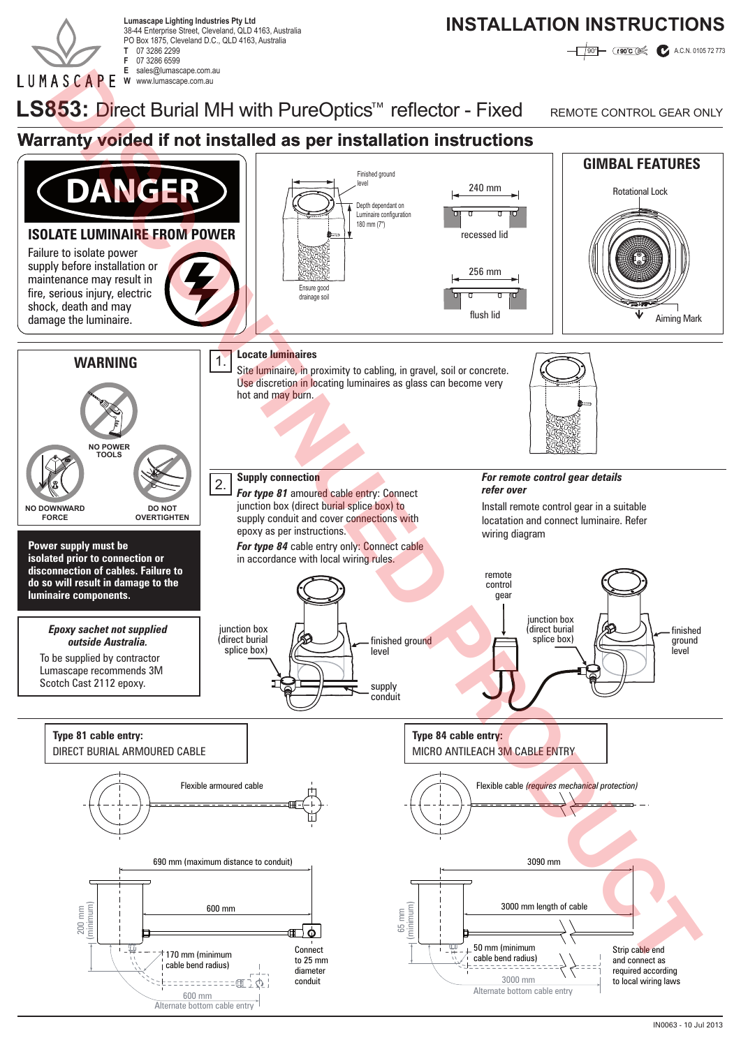

38-44 Enterprise Street, Cleveland, QLD 4163, Australia PO Box 1875, Cleveland D.C., QLD 4163, Australia **T** 07 3286 2299 07 3286 6599<br>sales@lumascape.com.au **E** sales@lumascape.com.au

## Lumascape Lighting Industries Pty Ltd<br>28.44 Enterprise Street Cloudend OLD 4163 Australia

**190<sup>o</sup> CESOCO A.C.N. 0105 72 773** 

**W** www.lumascape.com.au

LS853: Direct Burial MH with PureOptics<sup>™</sup> reflector - Fixed REMOTE CONTROL GEAR ONLY

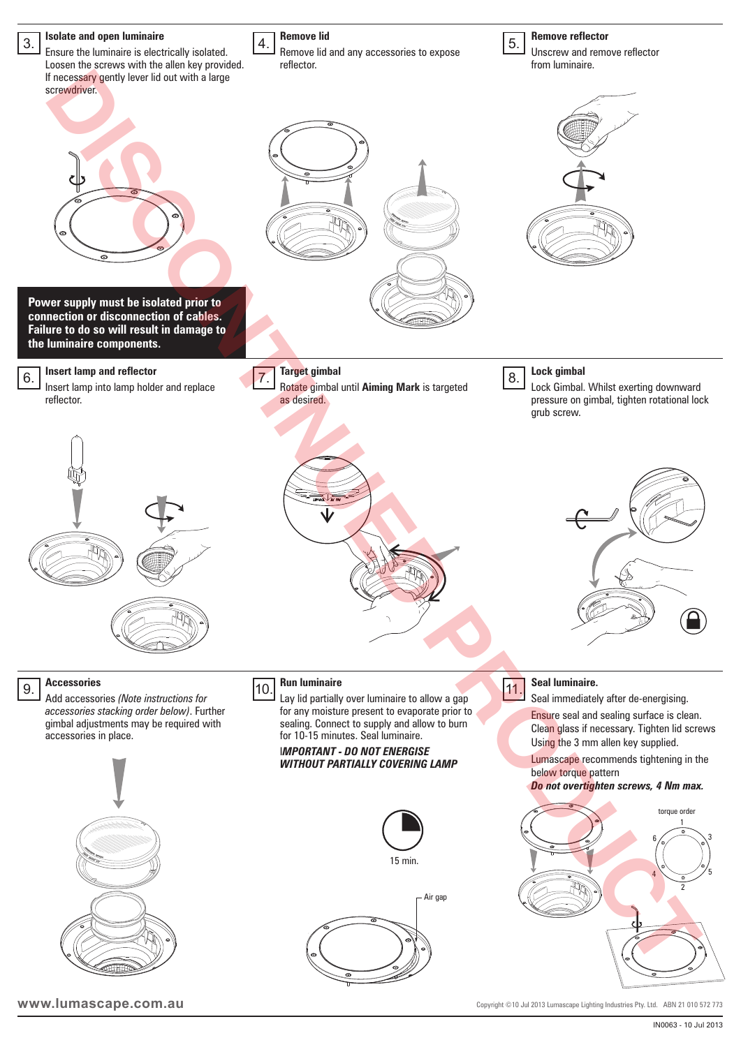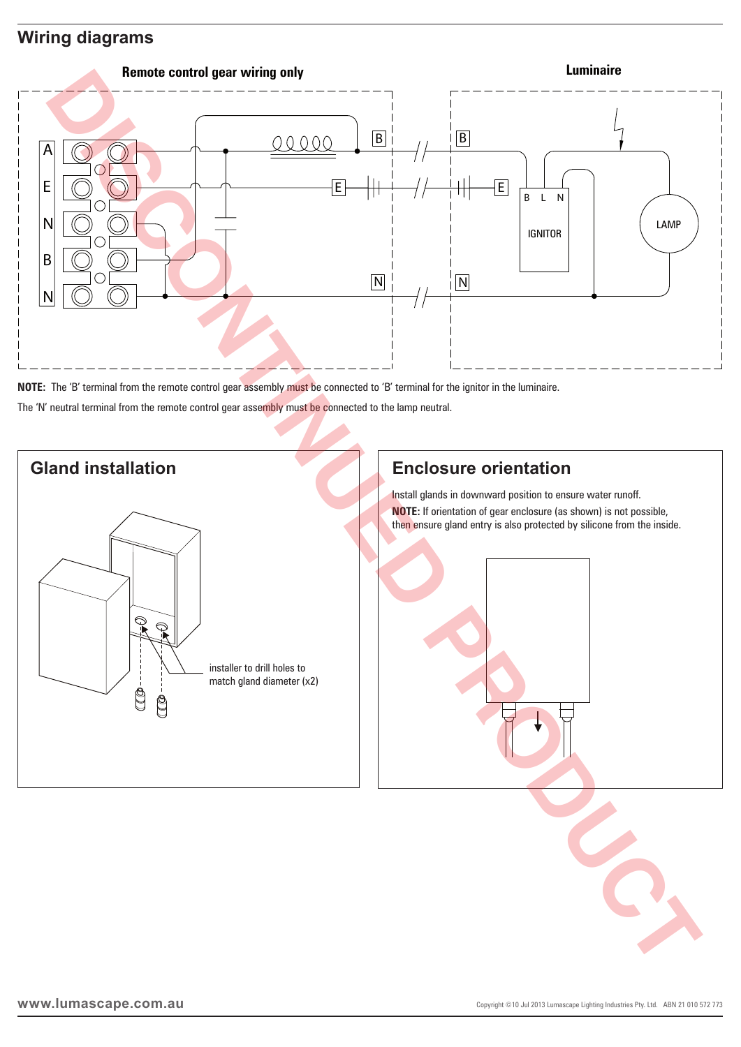### **Wiring diagrams**



**NOTE:** The 'B' terminal from the remote control gear assembly must be connected to 'B' terminal for the ignitor in the luminaire.

The 'N' neutral terminal from the remote control gear assembly must be connected to the lamp neutral.